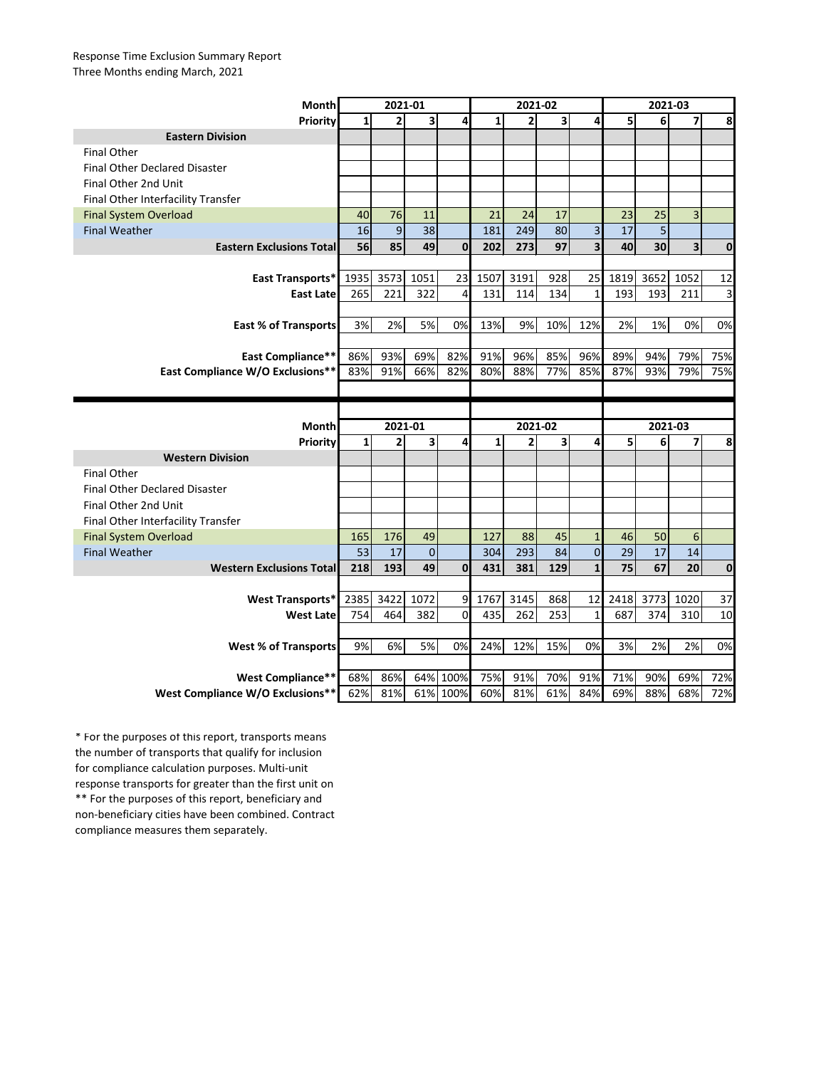## Response Time Exclusion Summary Report Three Months ending March, 2021

| <b>Month</b>                         | 2021-01  |                |                |                | 2021-02 |                |                         |                         | 2021-03 |         |                |             |
|--------------------------------------|----------|----------------|----------------|----------------|---------|----------------|-------------------------|-------------------------|---------|---------|----------------|-------------|
| Priority                             | $1\vert$ | $\overline{2}$ | 3              | 4              | 1       | 2 <sup>1</sup> | 3                       | 4                       | 5       | 6       | 7              | 8           |
| <b>Eastern Division</b>              |          |                |                |                |         |                |                         |                         |         |         |                |             |
| <b>Final Other</b>                   |          |                |                |                |         |                |                         |                         |         |         |                |             |
| <b>Final Other Declared Disaster</b> |          |                |                |                |         |                |                         |                         |         |         |                |             |
| Final Other 2nd Unit                 |          |                |                |                |         |                |                         |                         |         |         |                |             |
| Final Other Interfacility Transfer   |          |                |                |                |         |                |                         |                         |         |         |                |             |
| <b>Final System Overload</b>         | 40       | 76             | 11             |                | 21      | 24             | 17                      |                         | 23      | 25      | 3              |             |
| <b>Final Weather</b>                 | 16       | $\overline{9}$ | 38             |                | 181     | 249            | 80                      | 3                       | 17      | 5       |                |             |
| <b>Eastern Exclusions Total</b>      | 56       | 85             | 49             | $\mathbf 0$    | 202     | 273            | 97                      | $\overline{\mathbf{3}}$ | 40      | 30      | 3 <sup>1</sup> | $\mathbf 0$ |
|                                      |          |                |                |                |         |                |                         |                         |         |         |                |             |
| East Transports*                     | 1935     | 3573           | 1051           | 23             | 1507    | 3191           | 928                     |                         | 25 1819 | 3652    | 1052           | 12          |
| <b>East Latel</b>                    | 265      | 221            | 322            | 4              | 131     | 114            | 134                     | 1                       | 193     | 193     | 211            | 3           |
|                                      |          |                |                |                |         |                |                         |                         |         |         |                |             |
| <b>East % of Transports</b>          | 3%       | 2%             | 5%             | 0%             | 13%     | 9%             | 10%                     | 12%                     | 2%      | 1%      | 0%             | 0%          |
|                                      |          |                |                |                |         |                |                         |                         |         |         |                |             |
| <b>East Compliance**</b>             | 86%      | 93%            | 69%            | 82%            | 91%     | 96%            | 85%                     | 96%                     | 89%     | 94%     | 79%            | 75%         |
| East Compliance W/O Exclusions**     | 83%      | 91%            | 66%            | 82%            | 80%     | 88%            | 77%                     | 85%                     | 87%     | 93%     | 79%            | 75%         |
|                                      |          |                |                |                |         |                |                         |                         |         |         |                |             |
|                                      |          |                |                |                |         |                |                         |                         |         |         |                |             |
|                                      |          |                |                |                |         |                |                         |                         |         |         |                |             |
| <b>Month</b>                         |          | 2021-01        |                |                |         | 2021-02        |                         |                         |         | 2021-03 |                |             |
| <b>Priority</b>                      | 1        | 2              | 3              | 4              | 1       | $\overline{2}$ | $\overline{\mathbf{3}}$ | 4                       | 5       | 6       | 7              | 8           |
| <b>Western Division</b>              |          |                |                |                |         |                |                         |                         |         |         |                |             |
| <b>Final Other</b>                   |          |                |                |                |         |                |                         |                         |         |         |                |             |
| <b>Final Other Declared Disaster</b> |          |                |                |                |         |                |                         |                         |         |         |                |             |
| Final Other 2nd Unit                 |          |                |                |                |         |                |                         |                         |         |         |                |             |
| Final Other Interfacility Transfer   |          |                |                |                |         |                |                         |                         |         |         |                |             |
| <b>Final System Overload</b>         | 165      | 176            | 49             |                | 127     | 88             | 45                      |                         | 46      | 50      | 6              |             |
| <b>Final Weather</b>                 | 53       | 17             | $\overline{0}$ |                | 304     | 293            | 84                      | $\overline{0}$          | 29      | 17      | $14\,$         |             |
| <b>Western Exclusions Total</b>      | 218      | 193            | 49             | $\overline{0}$ | 431     | 381            | 129                     | 1                       | 75      | 67      | 20             | $\mathbf 0$ |
|                                      |          |                |                |                |         |                |                         |                         |         |         |                |             |
| <b>West Transports*</b>              | 2385     | 3422           | 1072           | 9              | 1767    | 3145           | 868                     | 12                      | 2418    | 3773    | 1020           | 37          |
| <b>West Late</b>                     | 754      | 464            | 382            | $\overline{0}$ | 435     | 262            | 253                     | 1                       | 687     | 374     | 310            | 10          |
|                                      |          |                |                |                |         |                |                         |                         |         |         |                |             |
| <b>West % of Transports</b>          | 9%       | 6%             | 5%             | 0%             | 24%     | 12%            | 15%                     | 0%                      | 3%      | 2%      | 2%             | 0%          |
|                                      |          |                |                |                |         |                |                         |                         |         |         |                |             |
| <b>West Compliance**</b>             | 68%      | 86%            |                | 64% 100%       | 75%     | 91%            | 70%                     | 91%                     | 71%     | 90%     | 69%            | 72%         |

\*\* For the purposes of this report, beneficiary and non-beneficiary cities have been combined. Contract compliance measures them separately. \* For the purposes of this report, transports means the number of transports that qualify for inclusion for compliance calculation purposes. Multi-unit response transports for greater than the first unit on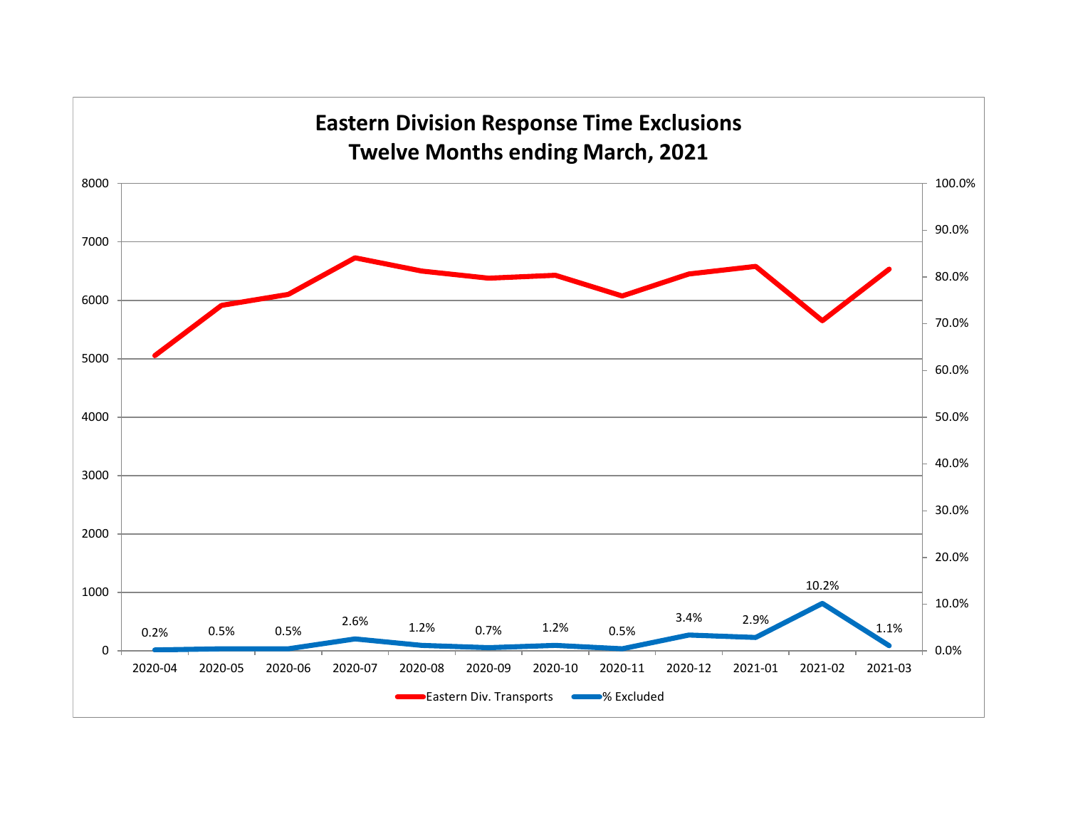